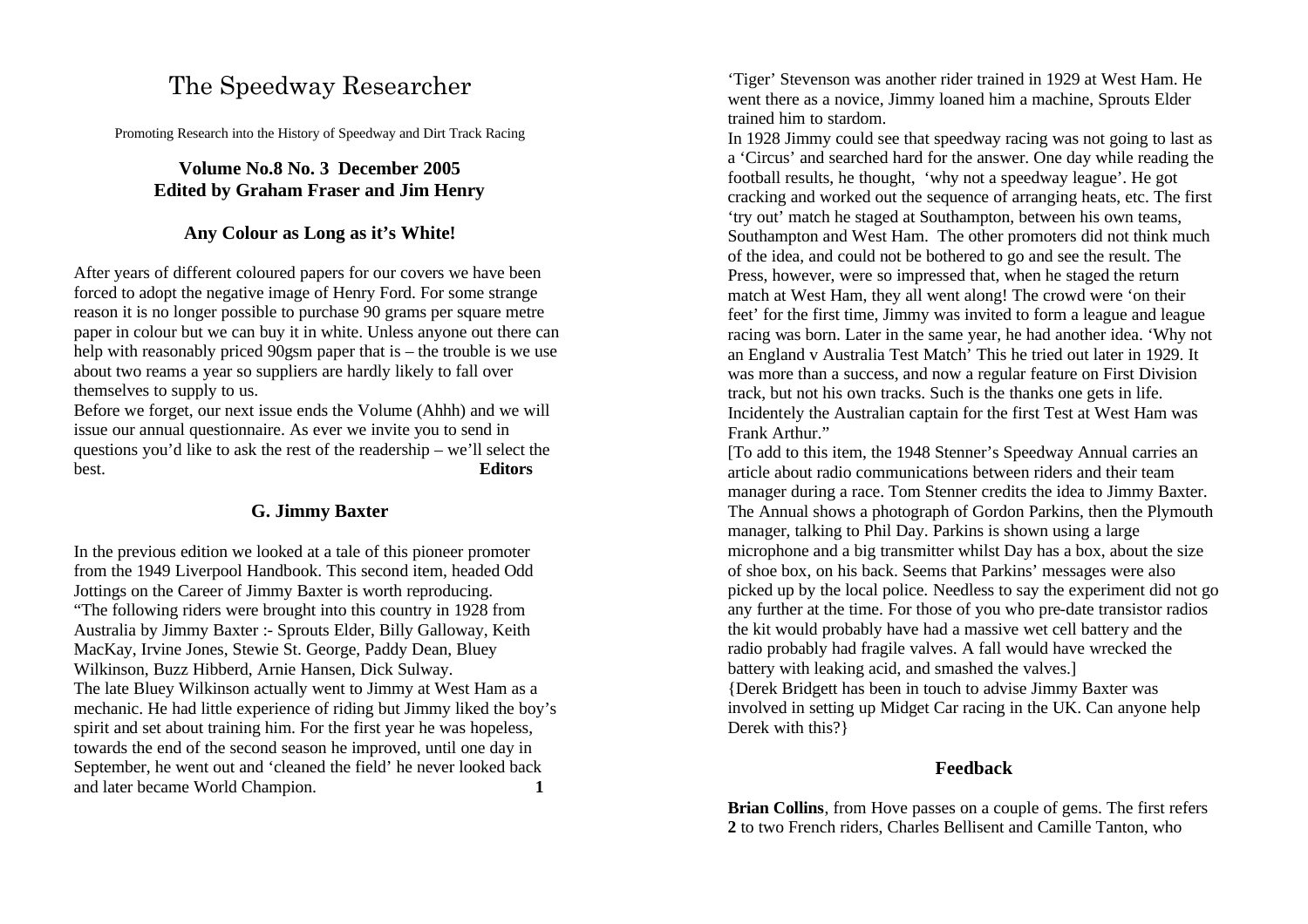# The Speedway Researcher

Promoting Research into the History of Speedway and Dirt Track Racing

**Volume No.8 No. 3 December 2005 Edited by Graham Fraser and Jim Henry**

### **Any Colour as Long as it's White!**

After years of different coloured papers for our covers we have been forced to adopt the negative image of Henry Ford. For some strange reason it is no longer possible to purchase 90 grams per square metre paper in colour but we can buy it in white. Unless anyone out there can help with reasonably priced 90gsm paper that is – the trouble is we use about two reams a year so suppliers are hardly likely to fall over themselves to supply to us.

Before we forget, our next issue ends the Volume (Ahhh) and we will issue our annual questionnaire. As ever we invite you to send in questions you'd like to ask the rest of the readership – we'll select the best. **Editors**

### **G. Jimmy Baxter**

In the previous edition we looked at a tale of this pioneer promoter from the 1949 Liverpool Handbook. This second item, headed Odd Jottings on the Career of Jimmy Baxter is worth reproducing. "The following riders were brought into this country in 1928 from Australia by Jimmy Baxter :- Sprouts Elder, Billy Galloway, Keith MacKay, Irvine Jones, Stewie St. George, Paddy Dean, Bluey Wilkinson, Buzz Hibberd, Arnie Hansen, Dick Sulway. The late Bluey Wilkinson actually went to Jimmy at West Ham as a mechanic. He had little experience of riding but Jimmy liked the boy's spirit and set about training him. For the first year he was hopeless, towards the end of the second season he improved, until one day in September, he went out and 'cleaned the field' he never looked back and later became World Champion. **1**

'Tiger' Stevenson was another rider trained in 1929 at West Ham. He went there as a novice, Jimmy loaned him a machine, Sprouts Elder trained him to stardom.

In 1928 Jimmy could see that speedway racing was not going to last as a 'Circus' and searched hard for the answer. One day while reading the football results, he thought, 'why not a speedway league'. He got cracking and worked out the sequence of arranging heats, etc. The first 'try out' match he staged at Southampton, between his own teams, Southampton and West Ham. The other promoters did not think much of the idea, and could not be bothered to go and see the result. The Press, however, were so impressed that, when he staged the return match at West Ham, they all went along! The crowd were 'on their feet' for the first time, Jimmy was invited to form a league and league racing was born. Later in the same year, he had another idea. 'Why not an England v Australia Test Match' This he tried out later in 1929. It was more than a success, and now a regular feature on First Division track, but not his own tracks. Such is the thanks one gets in life. Incidentely the Australian captain for the first Test at West Ham was Frank Arthur."

[To add to this item, the 1948 Stenner's Speedway Annual carries an article about radio communications between riders and their team manager during a race. Tom Stenner credits the idea to Jimmy Baxter. The Annual shows a photograph of Gordon Parkins, then the Plymouth manager, talking to Phil Day. Parkins is shown using a large microphone and a big transmitter whilst Day has a box, about the size of shoe box, on his back. Seems that Parkins' messages were also picked up by the local police. Needless to say the experiment did not go any further at the time. For those of you who pre-date transistor radios the kit would probably have had a massive wet cell battery and the radio probably had fragile valves. A fall would have wrecked the battery with leaking acid, and smashed the valves.] {Derek Bridgett has been in touch to advise Jimmy Baxter was involved in setting up Midget Car racing in the UK. Can anyone help Derek with this?}

#### **Feedback**

**Brian Collins**, from Hove passes on a couple of gems. The first refers **2** to two French riders, Charles Bellisent and Camille Tanton, who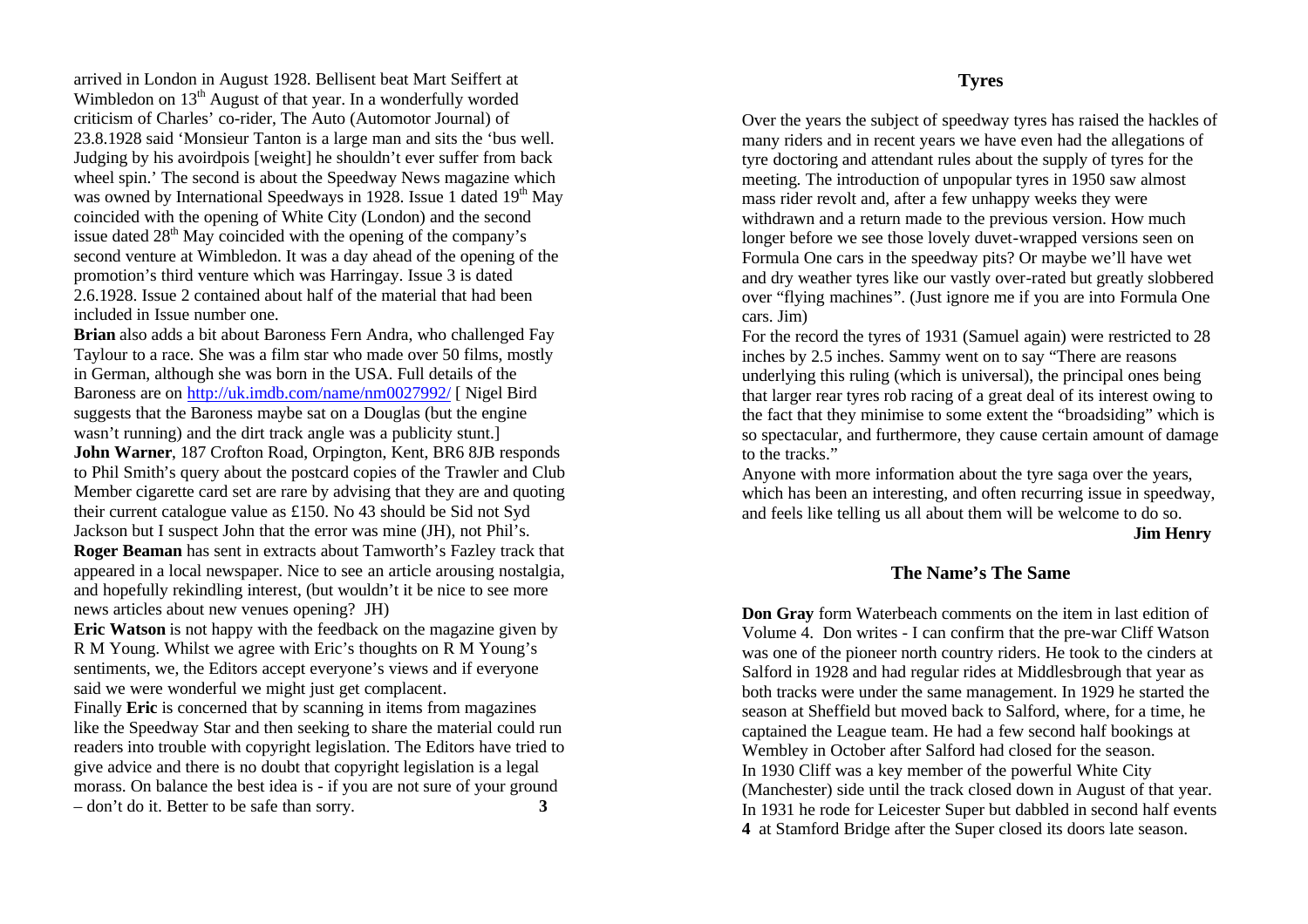arrived in London in August 1928. Bellisent beat Mart Seiffert at Wimbledon on  $13<sup>th</sup>$  August of that year. In a wonderfully worded criticism of Charles' co-rider, The Auto (Automotor Journal) of 23.8.1928 said 'Monsieur Tanton is a large man and sits the 'bus well. Judging by his avoirdpois [weight] he shouldn't ever suffer from back wheel spin.' The second is about the Speedway News magazine which was owned by International Speedways in 1928. Issue 1 dated 19<sup>th</sup> May coincided with the opening of White City (London) and the second issue dated  $28<sup>th</sup>$  May coincided with the opening of the company's second venture at Wimbledon. It was a day ahead of the opening of the promotion's third venture which was Harringay. Issue 3 is dated 2.6.1928. Issue 2 contained about half of the material that had been included in Issue number one.

**Brian** also adds a bit about Baroness Fern Andra, who challenged Fay Taylour to a race. She was a film star who made over 50 films, mostly in German, although she was born in the USA. Full details of the Baroness are on http://uk.imdb.com/name/nm0027992/ [ Nigel Bird suggests that the Baroness maybe sat on a Douglas (but the engine wasn't running) and the dirt track angle was a publicity stunt.] **John Warner**, 187 Crofton Road, Orpington, Kent, BR6 8JB responds to Phil Smith's query about the postcard copies of the Trawler and Club Member cigarette card set are rare by advising that they are and quoting their current catalogue value as £150. No 43 should be Sid not Syd Jackson but I suspect John that the error was mine (JH), not Phil's. **Roger Beaman** has sent in extracts about Tamworth's Fazley track that appeared in a local newspaper. Nice to see an article arousing nostalgia, and hopefully rekindling interest, (but wouldn't it be nice to see more

news articles about new venues opening? JH) **Eric Watson** is not happy with the feedback on the magazine given by R M Young. Whilst we agree with Eric's thoughts on R M Young's sentiments, we, the Editors accept everyone's views and if everyone said we were wonderful we might just get complacent.

Finally **Eric** is concerned that by scanning in items from magazines like the Speedway Star and then seeking to share the material could run readers into trouble with copyright legislation. The Editors have tried to give advice and there is no doubt that copyright legislation is a legal morass. On balance the best idea is - if you are not sure of your ground – don't do it. Better to be safe than sorry. **3**

**Tyres**

Over the years the subject of speedway tyres has raised the hackles of many riders and in recent years we have even had the allegations of tyre doctoring and attendant rules about the supply of tyres for the meeting. The introduction of unpopular tyres in 1950 saw almost mass rider revolt and, after a few unhappy weeks they were withdrawn and a return made to the previous version. How much longer before we see those lovely duvet-wrapped versions seen on Formula One cars in the speedway pits? Or maybe we'll have wet and dry weather tyres like our vastly over-rated but greatly slobbered over "flying machines". (Just ignore me if you are into Formula One cars. Jim)

For the record the tyres of 1931 (Samuel again) were restricted to 28 inches by 2.5 inches. Sammy went on to say "There are reasons underlying this ruling (which is universal), the principal ones being that larger rear tyres rob racing of a great deal of its interest owing to the fact that they minimise to some extent the "broadsiding" which is so spectacular, and furthermore, they cause certain amount of damage to the tracks."

Anyone with more information about the tyre saga over the years, which has been an interesting, and often recurring issue in speedway, and feels like telling us all about them will be welcome to do so.

**Jim Henry**

### **The Name's The Same**

**Don Gray** form Waterbeach comments on the item in last edition of Volume 4. Don writes - I can confirm that the pre-war Cliff Watson was one of the pioneer north country riders. He took to the cinders at Salford in 1928 and had regular rides at Middlesbrough that year as both tracks were under the same management. In 1929 he started the season at Sheffield but moved back to Salford, where, for a time, he captained the League team. He had a few second half bookings at Wembley in October after Salford had closed for the season. In 1930 Cliff was a key member of the powerful White City (Manchester) side until the track closed down in August of that year. In 1931 he rode for Leicester Super but dabbled in second half events **4** at Stamford Bridge after the Super closed its doors late season.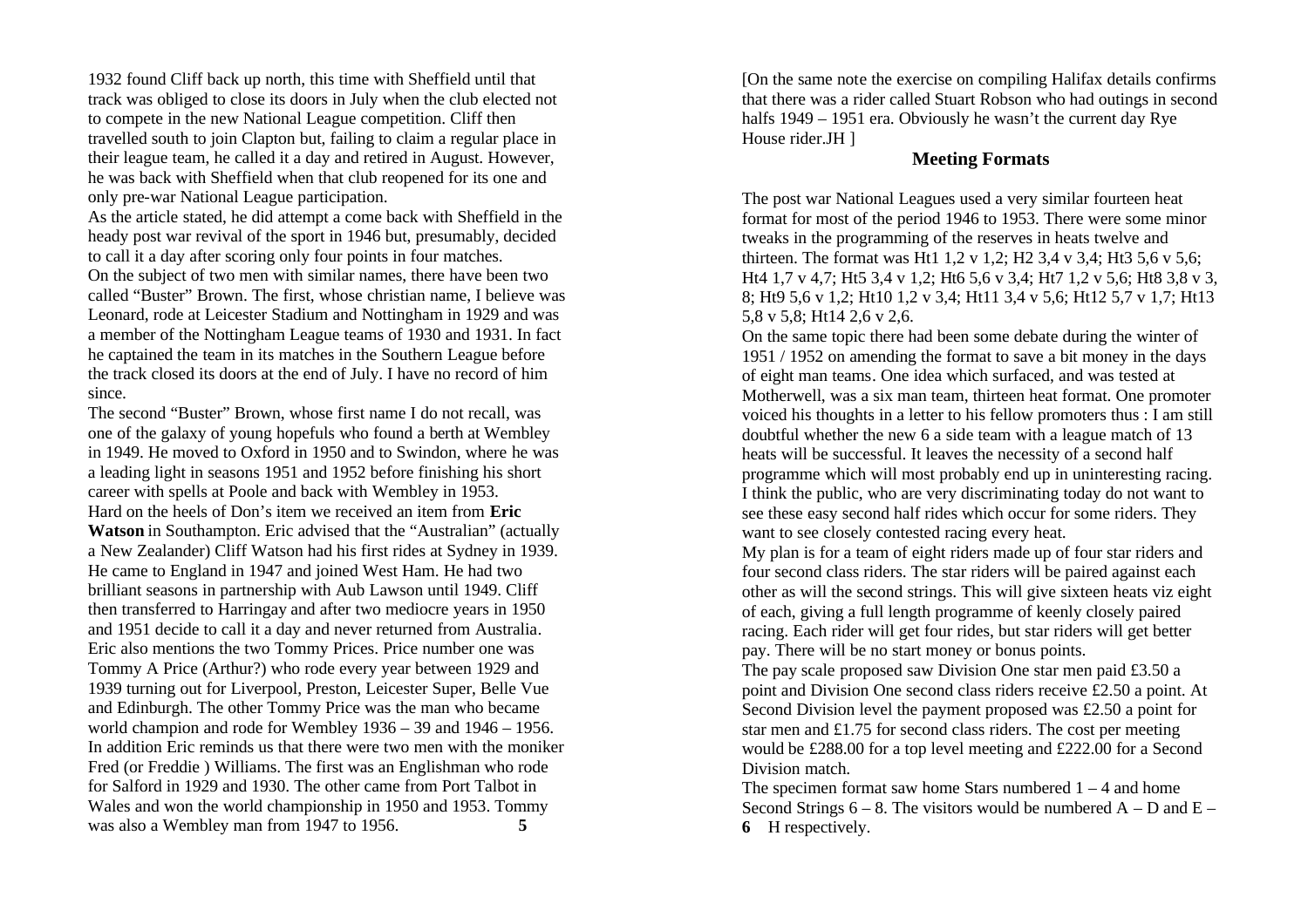1932 found Cliff back up north, this time with Sheffield until that track was obliged to close its doors in July when the club elected not to compete in the new National League competition. Cliff then travelled south to join Clapton but, failing to claim a regular place in their league team, he called it a day and retired in August. However, he was back with Sheffield when that club reopened for its one and only pre-war National League participation.

As the article stated, he did attempt a come back with Sheffield in the heady post war revival of the sport in 1946 but, presumably, decided to call it a day after scoring only four points in four matches.

On the subject of two men with similar names, there have been two called "Buster" Brown. The first, whose christian name, I believe was Leonard, rode at Leicester Stadium and Nottingham in 1929 and was a member of the Nottingham League teams of 1930 and 1931. In fact he captained the team in its matches in the Southern League before the track closed its doors at the end of July. I have no record of him since.

The second "Buster" Brown, whose first name I do not recall, was one of the galaxy of young hopefuls who found a berth at Wembley in 1949. He moved to Oxford in 1950 and to Swindon, where he was a leading light in seasons 1951 and 1952 before finishing his short career with spells at Poole and back with Wembley in 1953. Hard on the heels of Don's item we received an item from **Eric Watson** in Southampton. Eric advised that the "Australian" (actually a New Zealander) Cliff Watson had his first rides at Sydney in 1939. He came to England in 1947 and joined West Ham. He had two brilliant seasons in partnership with Aub Lawson until 1949. Cliff then transferred to Harringay and after two mediocre years in 1950 and 1951 decide to call it a day and never returned from Australia. Eric also mentions the two Tommy Prices. Price number one was Tommy A Price (Arthur?) who rode every year between 1929 and 1939 turning out for Liverpool, Preston, Leicester Super, Belle Vue and Edinburgh. The other Tommy Price was the man who became world champion and rode for Wembley 1936 – 39 and 1946 – 1956. In addition Eric reminds us that there were two men with the moniker Fred (or Freddie ) Williams. The first was an Englishman who rode for Salford in 1929 and 1930. The other came from Port Talbot in Wales and won the world championship in 1950 and 1953. Tommy was also a Wembley man from 1947 to 1956. **5**

[On the same note the exercise on compiling Halifax details confirms that there was a rider called Stuart Robson who had outings in second halfs 1949 – 1951 era. Obviously he wasn't the current day Rye House rider.JH ]

#### **Meeting Formats**

The post war National Leagues used a very similar fourteen heat format for most of the period 1946 to 1953. There were some minor tweaks in the programming of the reserves in heats twelve and thirteen. The format was Ht1 1,2 v 1,2; H2 3,4 v 3,4; Ht3 5,6 v 5,6; Ht4 1,7 v 4,7; Ht5 3,4 v 1,2; Ht6 5,6 v 3,4; Ht7 1,2 v 5,6; Ht8 3,8 v 3, 8; Ht9 5,6 v 1,2; Ht10 1,2 v 3,4; Ht11 3,4 v 5,6; Ht12 5,7 v 1,7; Ht13 5,8 v 5,8; Ht14 2,6 v 2,6.

On the same topic there had been some debate during the winter of 1951 / 1952 on amending the format to save a bit money in the days of eight man teams. One idea which surfaced, and was tested at Motherwell, was a six man team, thirteen heat format. One promoter voiced his thoughts in a letter to his fellow promoters thus : I am still doubtful whether the new 6 a side team with a league match of 13 heats will be successful. It leaves the necessity of a second half programme which will most probably end up in uninteresting racing. I think the public, who are very discriminating today do not want to see these easy second half rides which occur for some riders. They want to see closely contested racing every heat.

My plan is for a team of eight riders made up of four star riders and four second class riders. The star riders will be paired against each other as will the second strings. This will give sixteen heats viz eight of each, giving a full length programme of keenly closely paired racing. Each rider will get four rides, but star riders will get better pay. There will be no start money or bonus points.

The pay scale proposed saw Division One star men paid £3.50 a point and Division One second class riders receive £2.50 a point. At Second Division level the payment proposed was £2.50 a point for star men and £1.75 for second class riders. The cost per meeting would be £288.00 for a top level meeting and £222.00 for a Second Division match.

The specimen format saw home Stars numbered  $1 - 4$  and home Second Strings  $6 - 8$ . The visitors would be numbered  $A - D$  and  $E -$ **6** H respectively.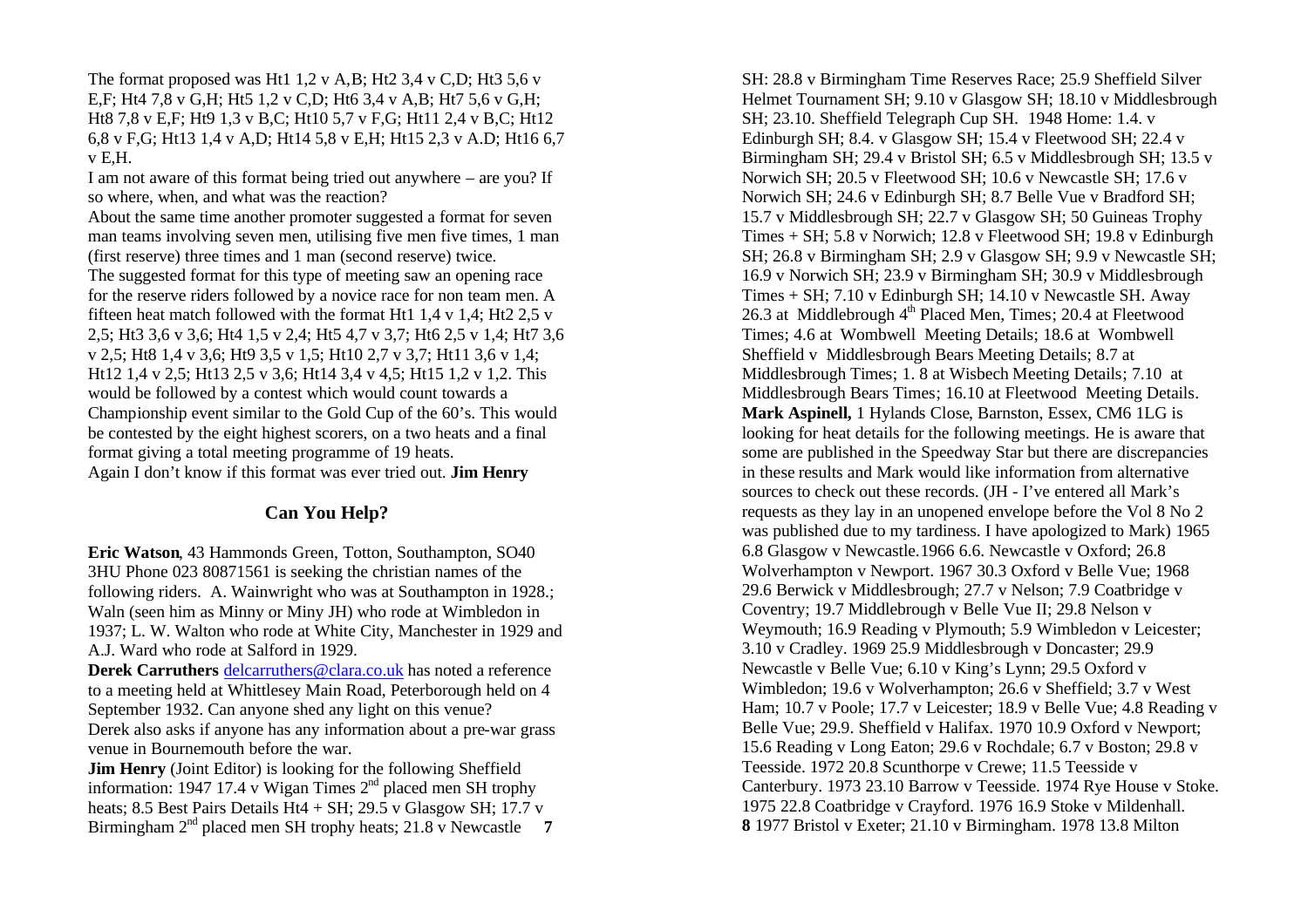The format proposed was Ht1 1,2 v A,B; Ht2 3,4 v C,D; Ht3 5,6 v E,F; Ht4 7,8 v G,H; Ht5 1,2 v C,D; Ht6 3,4 v A,B; Ht7 5,6 v G,H; Ht8 7,8 v E,F; Ht9 1,3 v B,C; Ht10 5,7 v F,G; Ht11 2,4 v B,C; Ht12 6,8 v F,G; Ht13 1,4 v A,D; Ht14 5,8 v E,H; Ht15 2,3 v A.D; Ht16 6,7  $v$  E.H.

I am not aware of this format being tried out anywhere – are you? If so where, when, and what was the reaction?

About the same time another promoter suggested a format for seven man teams involving seven men, utilising five men five times, 1 man (first reserve) three times and 1 man (second reserve) twice.

The suggested format for this type of meeting saw an opening race for the reserve riders followed by a novice race for non team men. A fifteen heat match followed with the format Ht1 1,4 v 1,4; Ht2 2,5 v 2,5; Ht3 3,6 v 3,6; Ht4 1,5 v 2,4; Ht5 4,7 v 3,7; Ht6 2,5 v 1,4; Ht7 3,6 v 2,5; Ht8 1,4 v 3,6; Ht9 3,5 v 1,5; Ht10 2,7 v 3,7; Ht11 3,6 v 1,4; Ht12 1,4 v 2,5; Ht13 2,5 v 3,6; Ht14 3,4 v 4,5; Ht15 1,2 v 1,2. This would be followed by a contest which would count towards a Championship event similar to the Gold Cup of the 60's. This would be contested by the eight highest scorers, on a two heats and a final format giving a total meeting programme of 19 heats. Again I don't know if this format was ever tried out. **Jim Henry**

#### **Can You Help?**

**Eric Watson**, 43 Hammonds Green, Totton, Southampton, SO40 3HU Phone 023 80871561 is seeking the christian names of the following riders. A. Wainwright who was at Southampton in 1928.; Waln (seen him as Minny or Miny JH) who rode at Wimbledon in 1937; L. W. Walton who rode at White City, Manchester in 1929 and A.J. Ward who rode at Salford in 1929.

**Derek Carruthers** delcarruthers @clara.co.uk has noted a reference to a meeting held at Whittlesey Main Road, Peterborough held on 4 September 1932. Can anyone shed any light on this venue? Derek also asks if anyone has any information about a pre-war grass venue in Bournemouth before the war.

**Jim Henry** (Joint Editor) is looking for the following Sheffield information: 1947 17.4 v Wigan Times  $2<sup>nd</sup>$  placed men SH trophy heats; 8.5 Best Pairs Details Ht4 + SH; 29.5 v Glasgow SH;  $17.7 v$ Birmingham 2<sup>nd</sup> placed men SH trophy heats; 21.8 v Newcastle 7

SH: 28.8 v Birmingham Time Reserves Race; 25.9 Sheffield Silver Helmet Tournament SH; 9.10 v Glasgow SH; 18.10 v Middlesbrough SH; 23.10. Sheffield Telegraph Cup SH.1948 Home: 1.4. v Edinburgh SH; 8.4. v Glasgow SH; 15.4 v Fleetwood SH; 22.4 v Birmingham SH; 29.4 v Bristol SH; 6.5 v Middlesbrough SH; 13.5 v Norwich SH; 20.5 v Fleetwood SH; 10.6 v Newcastle SH; 17.6 v Norwich SH; 24.6 v Edinburgh SH; 8.7 Belle Vue v Bradford SH; 15.7 v Middlesbrough SH; 22.7 v Glasgow SH; 50 Guineas Trophy Times + SH; 5.8 v Norwich; 12.8 v Fleetwood SH; 19.8 v Edinburgh SH; 26.8 v Birmingham SH; 2.9 v Glasgow SH; 9.9 v Newcastle SH; 16.9 v Norwich SH; 23.9 v Birmingham SH; 30.9 v Middlesbrough Times + SH; 7.10 v Edinburgh SH; 14.10 v Newcastle SH. Away 26.3 at Middlebrough  $4<sup>th</sup>$  Placed Men, Times; 20.4 at Fleetwood Times; 4.6 at Wombwell Meeting Details; 18.6 at Wombwell Sheffield v Middlesbrough Bears Meeting Details; 8.7 at Middlesbrough Times; 1. 8 at Wisbech Meeting Details; 7.10 at Middlesbrough Bears Times; 16.10 at Fleetwood Meeting Details. **Mark Aspinell,** 1 Hylands Close, Barnston, Essex, CM6 1LG is looking for heat details for the following meetings. He is aware that some are published in the Speedway Star but there are discrepancies in these results and Mark would like information from alternative sources to check out these records. (JH - I've entered all Mark's requests as they lay in an unopened envelope before the Vol 8 No 2 was published due to my tardiness. I have apologized to Mark) 1965 6.8 Glasgow v Newcastle.1966 6.6. Newcastle v Oxford; 26.8 Wolverhampton v Newport. 1967 30.3 Oxford v Belle Vue; 1968 29.6 Berwick v Middlesbrough; 27.7 v Nelson; 7.9 Coatbridge v Coventry; 19.7 Middlebrough v Belle Vue II; 29.8 Nelson v Weymouth; 16.9 Reading v Plymouth; 5.9 Wimbledon v Leicester; 3.10 v Cradley. 1969 25.9 Middlesbrough v Doncaster; 29.9 Newcastle v Belle Vue; 6.10 v King's Lynn; 29.5 Oxford v Wimbledon; 19.6 v Wolverhampton; 26.6 v Sheffield; 3.7 v West Ham; 10.7 v Poole; 17.7 v Leicester; 18.9 v Belle Vue; 4.8 Reading v Belle Vue; 29.9. Sheffield v Halifax. 1970 10.9 Oxford v Newport; 15.6 Reading v Long Eaton; 29.6 v Rochdale; 6.7 v Boston; 29.8 v Teesside. 1972 20.8 Scunthorpe v Crewe; 11.5 Teesside v Canterbury. 1973 23.10 Barrow v Teesside. 1974 Rye House v Stoke. 1975 22.8 Coatbridge v Crayford. 1976 16.9 Stoke v Mildenhall. **8** 1977 Bristol v Exeter; 21.10 v Birmingham. 1978 13.8 Milton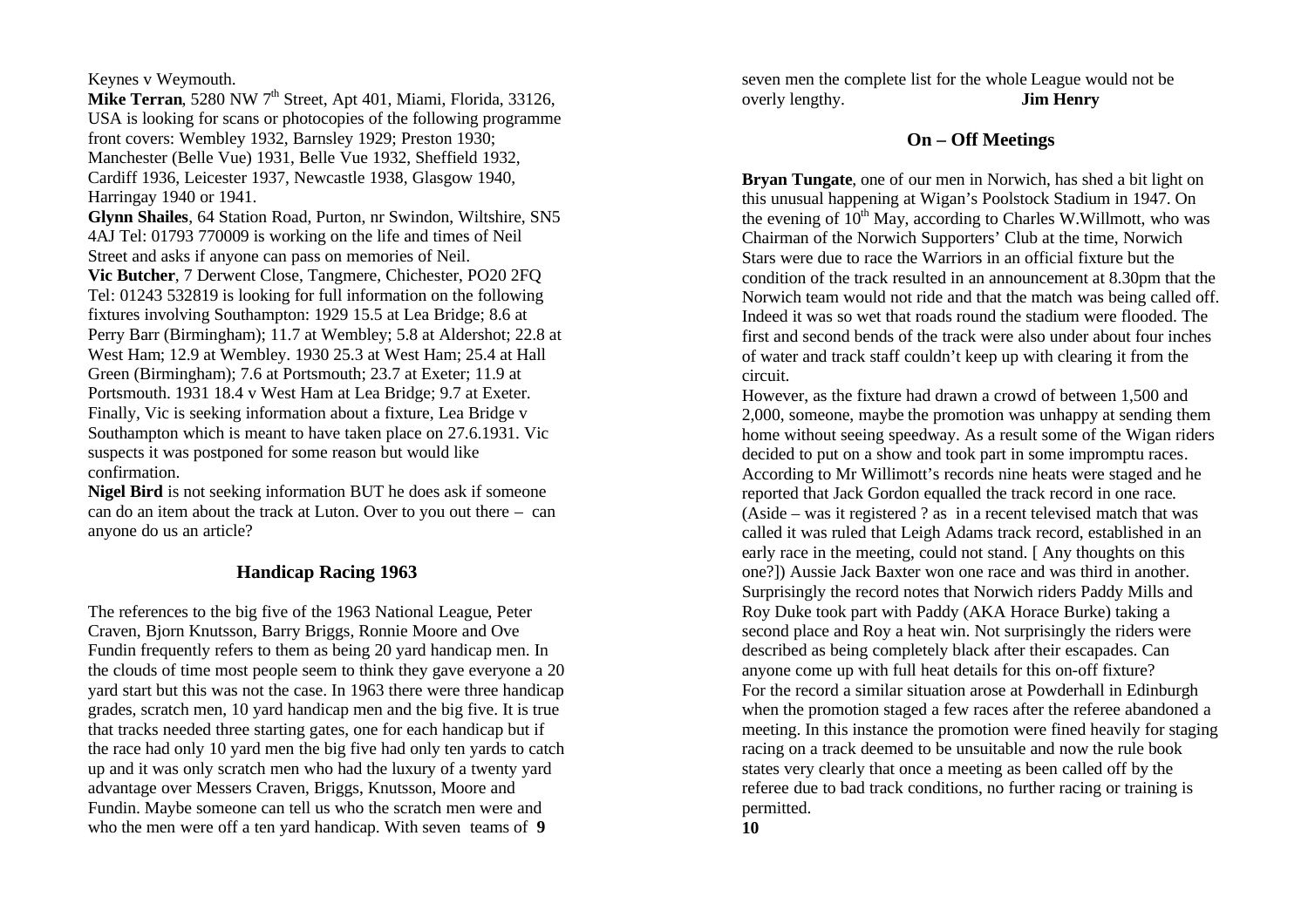Keynes v Weymouth.

**Mike Terran**, 5280 NW 7<sup>th</sup> Street, Apt 401, Miami, Florida, 33126, USA is looking for scans or photocopies of the following programme front covers: Wembley 1932, Barnsley 1929; Preston 1930; Manchester (Belle Vue) 1931, Belle Vue 1932, Sheffield 1932, Cardiff 1936, Leicester 1937, Newcastle 1938, Glasgow 1940, Harringay 1940 or 1941.

**Glynn Shailes**, 64 Station Road, Purton, nr Swindon, Wiltshire, SN5 4AJ Tel: 01793 770009 is working on the life and times of Neil Street and asks if anyone can pass on memories of Neil.

**Vic Butcher**, 7 Derwent Close, Tangmere, Chichester, PO20 2FQ Tel: 01243 532819 is looking for full information on the following fixtures involving Southampton: 1929 15.5 at Lea Bridge; 8.6 at Perry Barr (Birmingham); 11.7 at Wembley; 5.8 at Aldershot; 22.8 at West Ham; 12.9 at Wembley. 1930 25.3 at West Ham; 25.4 at Hall Green (Birmingham); 7.6 at Portsmouth; 23.7 at Exeter; 11.9 at Portsmouth. 1931 18.4 v West Ham at Lea Bridge; 9.7 at Exeter. Finally, Vic is seeking information about a fixture, Lea Bridge v Southampton which is meant to have taken place on 27.6.1931. Vic suspects it was postponed for some reason but would like confirmation.

**Nigel Bird** is not seeking information BUT he does ask if someone can do an item about the track at Luton. Over to you out there – can anyone do us an article?

# **Handicap Racing 1963**

The references to the big five of the 1963 National League, Peter Craven, Bjorn Knutsson, Barry Briggs, Ronnie Moore and Ove Fundin frequently refers to them as being 20 yard handicap men. In the clouds of time most people seem to think they gave everyone a 20 yard start but this was not the case. In 1963 there were three handicap grades, scratch men, 10 yard handicap men and the big five. It is true that tracks needed three starting gates, one for each handicap but if the race had only 10 yard men the big five had only ten yards to catch up and it was only scratch men who had the luxury of a twenty yard advantage over Messers Craven, Briggs, Knutsson, Moore and Fundin. Maybe someone can tell us who the scratch men were and who the men were off a ten yard handicap. With seven teams of **9** 

seven men the complete list for the whole League would not be overly lengthy. **Jim Henry**

### **On – Off Meetings**

**Bryan Tungate**, one of our men in Norwich, has shed a bit light on this unusual happening at Wigan's Poolstock Stadium in 1947. On the evening of  $10^{th}$  May, according to Charles W.Willmott, who was Chairman of the Norwich Supporters' Club at the time, Norwich Stars were due to race the Warriors in an official fixture but the condition of the track resulted in an announcement at 8.30pm that the Norwich team would not ride and that the match was being called off. Indeed it was so wet that roads round the stadium were flooded. The first and second bends of the track were also under about four inches of water and track staff couldn't keep up with clearing it from the circuit.

However, as the fixture had drawn a crowd of between 1,500 and 2,000, someone, maybe the promotion was unhappy at sending them home without seeing speedway. As a result some of the Wigan riders decided to put on a show and took part in some impromptu races. According to Mr Willimott's records nine heats were staged and he reported that Jack Gordon equalled the track record in one race. (Aside – was it registered ? as in a recent televised match that was called it was ruled that Leigh Adams track record, established in an early race in the meeting, could not stand. [ Any thoughts on this one?]) Aussie Jack Baxter won one race and was third in another. Surprisingly the record notes that Norwich riders Paddy Mills and Roy Duke took part with Paddy (AKA Horace Burke) taking a second place and Roy a heat win. Not surprisingly the riders were described as being completely black after their escapades. Can anyone come up with full heat details for this on-off fixture? For the record a similar situation arose at Powderhall in Edinburgh when the promotion staged a few races after the referee abandoned a meeting. In this instance the promotion were fined heavily for staging racing on a track deemed to be unsuitable and now the rule book states very clearly that once a meeting as been called off by the referee due to bad track conditions, no further racing or training is permitted.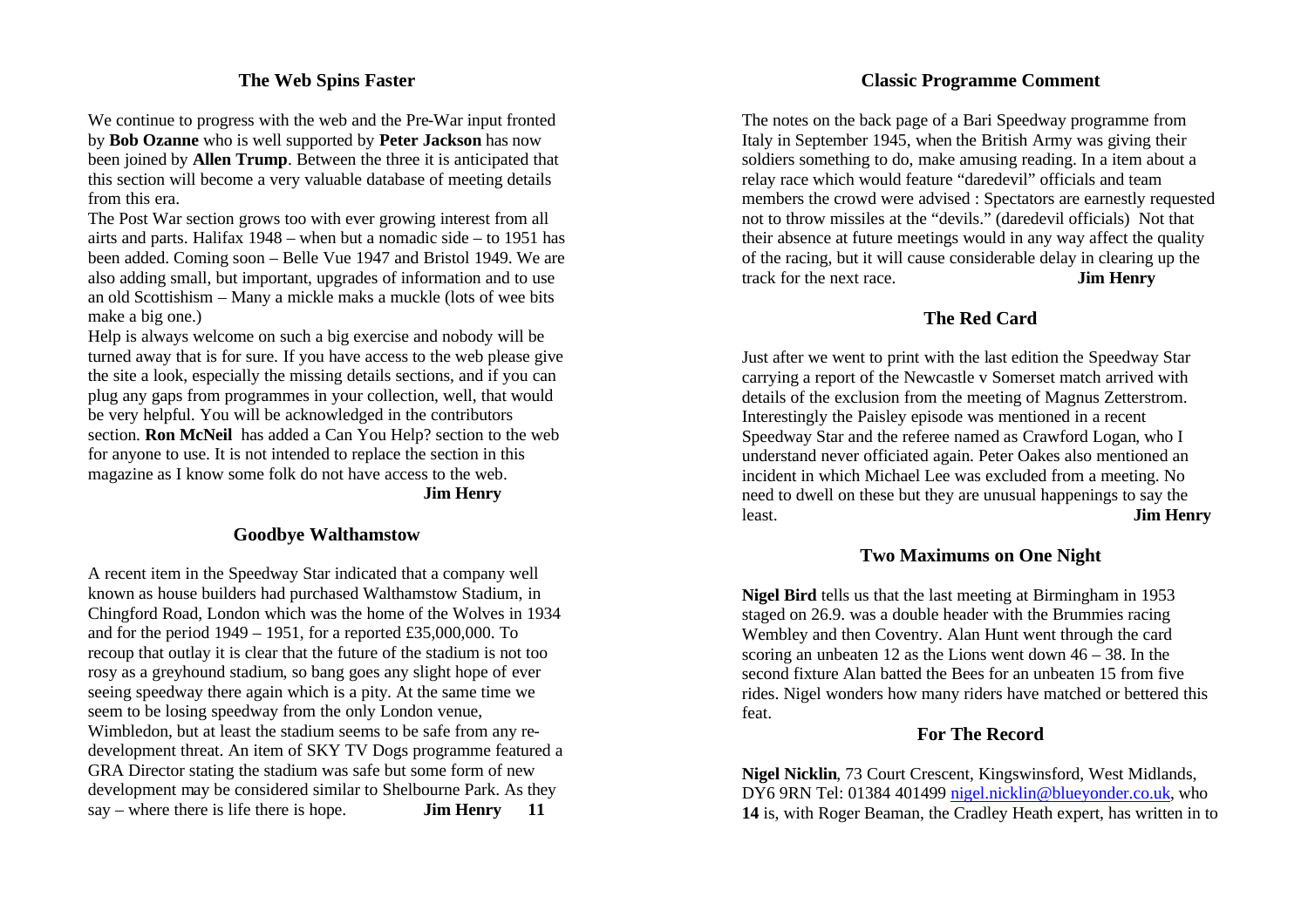### **The Web Spins Faster**

We continue to progress with the web and the Pre-War input fronted by **Bob Ozanne** who is well supported by **Peter Jackson** has now been joined by **Allen Trump**. Between the three it is anticipated that this section will become a very valuable database of meeting details from this era.

The Post War section grows too with ever growing interest from all airts and parts. Halifax 1948 – when but a nomadic side – to 1951 has been added. Coming soon – Belle Vue 1947 and Bristol 1949. We are also adding small, but important, upgrades of information and to use an old Scottishism – Many a mickle maks a muckle (lots of wee bits make a big one.)

Help is always welcome on such a big exercise and nobody will be turned away that is for sure. If you have access to the web please give the site a look, especially the missing details sections, and if you can plug any gaps from programmes in your collection, well, that would be very helpful. You will be acknowledged in the contributors section. **Ron McNeil** has added a Can You Help? section to the web for anyone to use. It is not intended to replace the section in this magazine as I know some folk do not have access to the web.

**Jim Henry**

#### **Goodbye Walthamstow**

A recent item in the Speedway Star indicated that a company well known as house builders had purchased Walthamstow Stadium, in Chingford Road, London which was the home of the Wolves in 1934 and for the period 1949 – 1951, for a reported £35,000,000. To recoup that outlay it is clear that the future of the stadium is not too rosy as a greyhound stadium, so bang goes any slight hope of ever seeing speedway there again which is a pity. At the same time we seem to be losing speedway from the only London venue, Wimbledon, but at least the stadium seems to be safe from any redevelopment threat. An item of SKY TV Dogs programme featured a GRA Director stating the stadium was safe but some form of new development may be considered similar to Shelbourne Park. As they say – where there is life there is hope. **Jim Henry 11**

### **Classic Programme Comment**

The notes on the back page of a Bari Speedway programme from Italy in September 1945, when the British Army was giving their soldiers something to do, make amusing reading. In a item about a relay race which would feature "daredevil" officials and team members the crowd were advised : Spectators are earnestly requested not to throw missiles at the "devils." (daredevil officials) Not that their absence at future meetings would in any way affect the quality of the racing, but it will cause considerable delay in clearing up the track for the next race. **Jim Henry**

### **The Red Card**

Just after we went to print with the last edition the Speedway Star carrying a report of the Newcastle v Somerset match arrived with details of the exclusion from the meeting of Magnus Zetterstrom. Interestingly the Paisley episode was mentioned in a recent Speedway Star and the referee named as Crawford Logan, who I understand never officiated again. Peter Oakes also mentioned an incident in which Michael Lee was excluded from a meeting. No need to dwell on these but they are unusual happenings to say the least. **Jim Henry**

#### **Two Maximums on One Night**

**Nigel Bird** tells us that the last meeting at Birmingham in 1953 staged on 26.9. was a double header with the Brummies racing Wembley and then Coventry. Alan Hunt went through the card scoring an unbeaten 12 as the Lions went down 46 – 38. In the second fixture Alan batted the Bees for an unbeaten 15 from five rides. Nigel wonders how many riders have matched or bettered this feat.

### **For The Record**

**Nigel Nicklin**, 73 Court Crescent, Kingswinsford, West Midlands, DY6 9RN Tel: 01384 401499 nigel.nicklin@blueyonder.co.uk, who **14** is, with Roger Beaman, the Cradley Heath expert, has written in to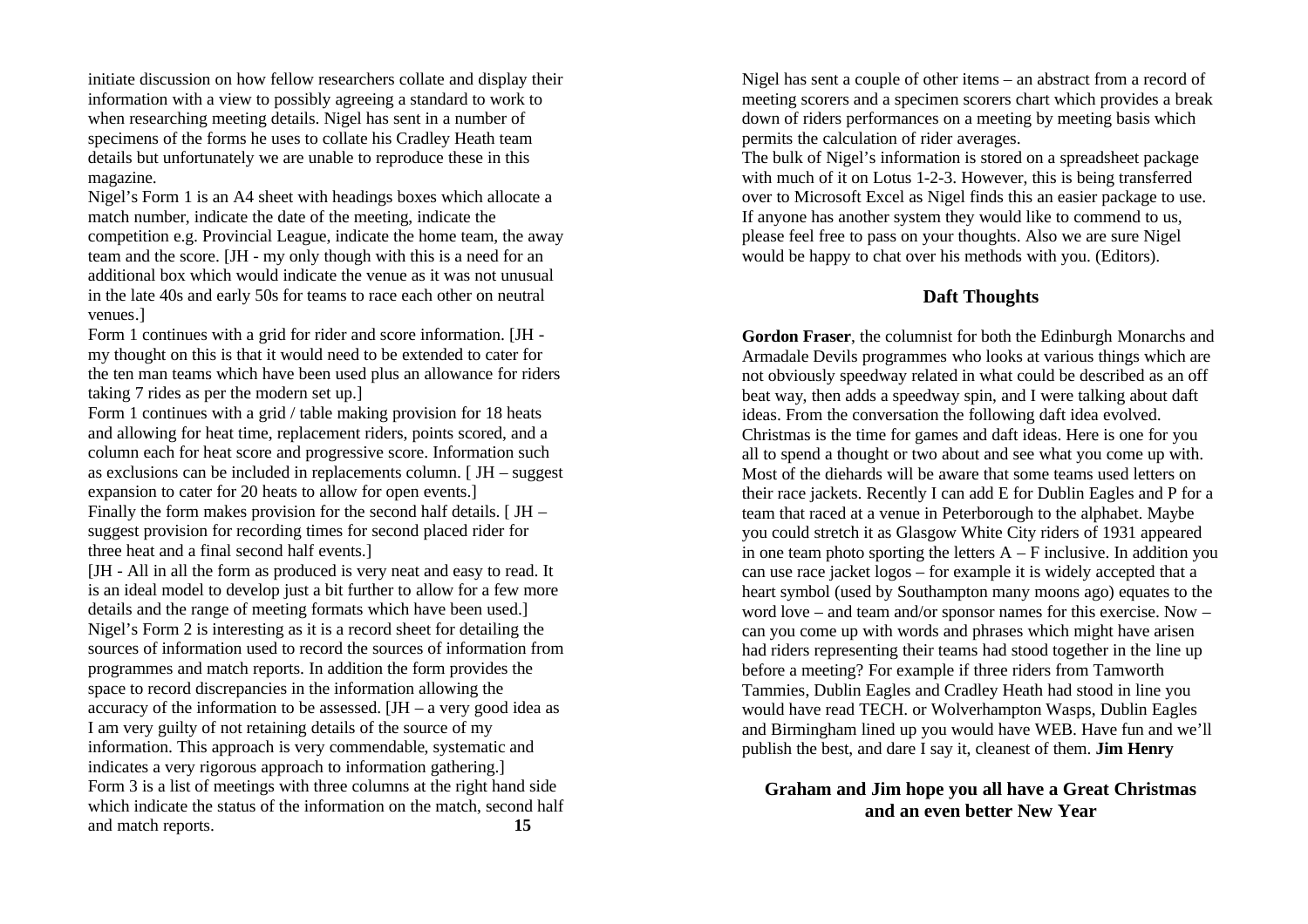initiate discussion on how fellow researchers collate and display their information with a view to possibly agreeing a standard to work to when researching meeting details. Nigel has sent in a number of specimens of the forms he uses to collate his Cradley Heath team details but unfortunately we are unable to reproduce these in this magazine.

Nigel's Form 1 is an A4 sheet with headings boxes which allocate a match number, indicate the date of the meeting, indicate the competition e.g. Provincial League, indicate the home team, the away team and the score. [JH - my only though with this is a need for an additional box which would indicate the venue as it was not unusual in the late 40s and early 50s for teams to race each other on neutral venues.]

Form 1 continues with a grid for rider and score information. [JH my thought on this is that it would need to be extended to cater for the ten man teams which have been used plus an allowance for riders taking 7 rides as per the modern set up.]

Form 1 continues with a grid / table making provision for 18 heats and allowing for heat time, replacement riders, points scored, and a column each for heat score and progressive score. Information such as exclusions can be included in replacements column. [ JH – suggest expansion to cater for 20 heats to allow for open events.] Finally the form makes provision for the second half details.  $[$  JH –

suggest provision for recording times for second placed rider for three heat and a final second half events.]

[JH - All in all the form as produced is very neat and easy to read. It is an ideal model to develop just a bit further to allow for a few more details and the range of meeting formats which have been used.] Nigel's Form 2 is interesting as it is a record sheet for detailing the sources of information used to record the sources of information from programmes and match reports. In addition the form provides the space to record discrepancies in the information allowing the accuracy of the information to be assessed. [JH – a very good idea as I am very guilty of not retaining details of the source of my information. This approach is very commendable, systematic and indicates a very rigorous approach to information gathering.] Form 3 is a list of meetings with three columns at the right hand side which indicate the status of the information on the match, second half and match reports. **15**

Nigel has sent a couple of other items – an abstract from a record of meeting scorers and a specimen scorers chart which provides a break down of riders performances on a meeting by meeting basis which permits the calculation of rider averages.

The bulk of Nigel's information is stored on a spreadsheet package with much of it on Lotus 1-2-3. However, this is being transferred over to Microsoft Excel as Nigel finds this an easier package to use. If anyone has another system they would like to commend to us, please feel free to pass on your thoughts. Also we are sure Nigel would be happy to chat over his methods with you. (Editors).

### **Daft Thoughts**

**Gordon Fraser**, the columnist for both the Edinburgh Monarchs and Armadale Devils programmes who looks at various things which are not obviously speedway related in what could be described as an off beat way, then adds a speedway spin, and I were talking about daft ideas. From the conversation the following daft idea evolved. Christmas is the time for games and daft ideas. Here is one for you all to spend a thought or two about and see what you come up with. Most of the diehards will be aware that some teams used letters on their race jackets. Recently I can add E for Dublin Eagles and P for a team that raced at a venue in Peterborough to the alphabet. Maybe you could stretch it as Glasgow White City riders of 1931 appeared in one team photo sporting the letters  $A - F$  inclusive. In addition you can use race jacket logos – for example it is widely accepted that a heart symbol (used by Southampton many moons ago) equates to the word love – and team and/or sponsor names for this exercise. Now – can you come up with words and phrases which might have arisen had riders representing their teams had stood together in the line up before a meeting? For example if three riders from Tamworth Tammies, Dublin Eagles and Cradley Heath had stood in line you would have read TECH. or Wolverhampton Wasps, Dublin Eagles and Birmingham lined up you would have WEB. Have fun and we'll publish the best, and dare I say it, cleanest of them. **Jim Henry**

### **Graham and Jim hope you all have a Great Christmas and an even better New Year**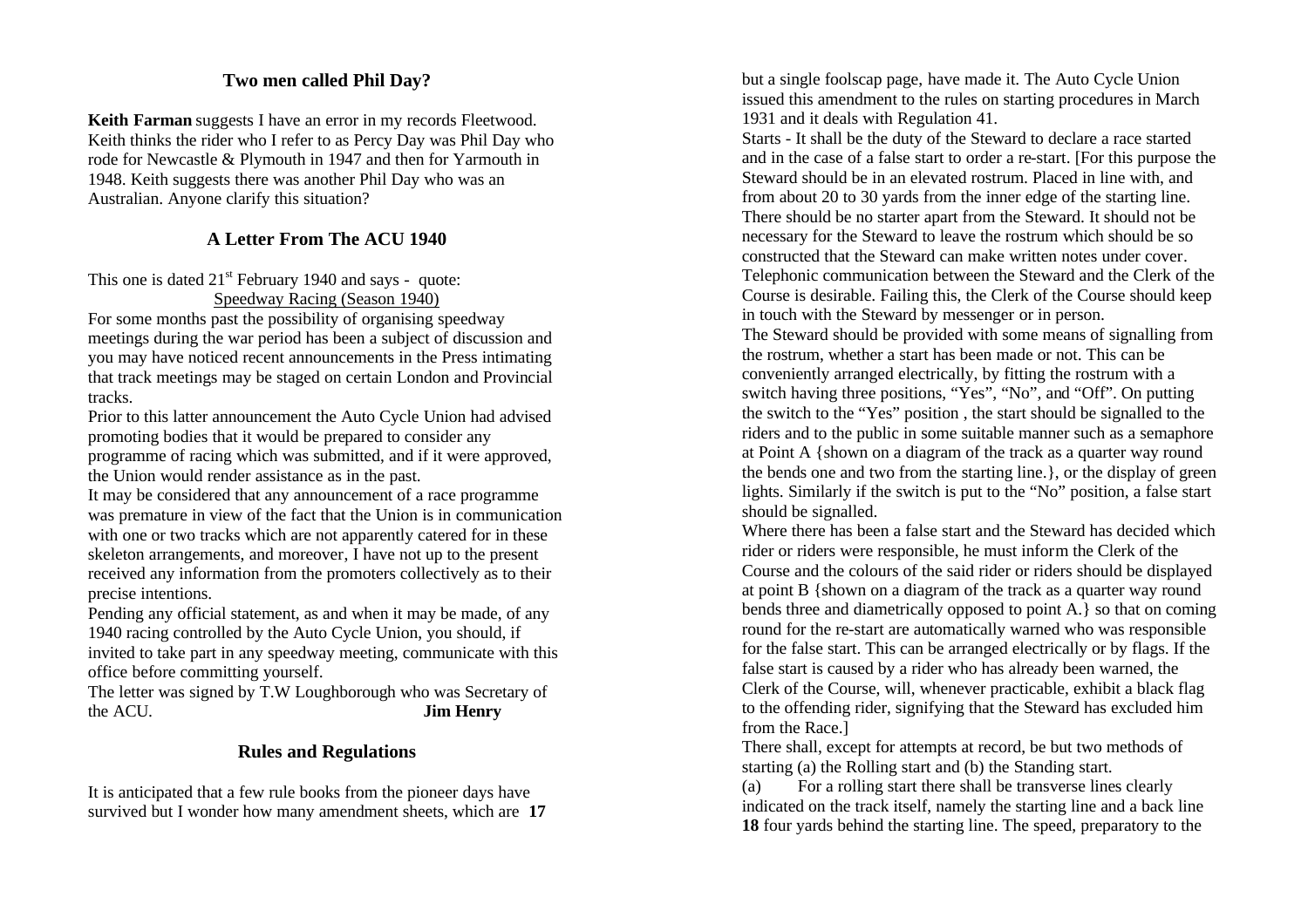# **Two men called Phil Day?**

**Keith Farman** suggests I have an error in my records Fleetwood. Keith thinks the rider who I refer to as Percy Day was Phil Day who rode for Newcastle & Plymouth in 1947 and then for Yarmouth in 1948. Keith suggests there was another Phil Day who was an Australian. Anyone clarify this situation?

# **A Letter From The ACU 1940**

This one is dated  $21<sup>st</sup>$  February 1940 and says - quote: Speedway Racing (Season 1940)

For some months past the possibility of organising speedway meetings during the war period has been a subject of discussion and you may have noticed recent announcements in the Press intimating that track meetings may be staged on certain London and Provincial tracks.

Prior to this latter announcement the Auto Cycle Union had advised promoting bodies that it would be prepared to consider any programme of racing which was submitted, and if it were approved, the Union would render assistance as in the past.

It may be considered that any announcement of a race programme was premature in view of the fact that the Union is in communication with one or two tracks which are not apparently catered for in these skeleton arrangements, and moreover, I have not up to the present received any information from the promoters collectively as to their precise intentions.

Pending any official statement, as and when it may be made, of any 1940 racing controlled by the Auto Cycle Union, you should, if invited to take part in any speedway meeting, communicate with this office before committing yourself.

The letter was signed by T.W Loughborough who was Secretary of the ACU. **Jim Henry**

### **Rules and Regulations**

It is anticipated that a few rule books from the pioneer days have survived but I wonder how many amendment sheets, which are **17** but a single foolscap page, have made it. The Auto Cycle Union issued this amendment to the rules on starting procedures in March 1931 and it deals with Regulation 41.

Starts - It shall be the duty of the Steward to declare a race started and in the case of a false start to order a re-start. [For this purpose the Steward should be in an elevated rostrum. Placed in line with, and from about 20 to 30 yards from the inner edge of the starting line. There should be no starter apart from the Steward. It should not be necessary for the Steward to leave the rostrum which should be so constructed that the Steward can make written notes under cover. Telephonic communication between the Steward and the Clerk of the Course is desirable. Failing this, the Clerk of the Course should keep in touch with the Steward by messenger or in person.

The Steward should be provided with some means of signalling from the rostrum, whether a start has been made or not. This can be conveniently arranged electrically, by fitting the rostrum with a switch having three positions, "Yes", "No", and "Off". On putting the switch to the "Yes" position , the start should be signalled to the riders and to the public in some suitable manner such as a semaphore at Point A {shown on a diagram of the track as a quarter way round the bends one and two from the starting line.}, or the display of green lights. Similarly if the switch is put to the "No" position, a false start should be signalled.

Where there has been a false start and the Steward has decided which rider or riders were responsible, he must inform the Clerk of the Course and the colours of the said rider or riders should be displayed at point B {shown on a diagram of the track as a quarter way round bends three and diametrically opposed to point A.} so that on coming round for the re-start are automatically warned who was responsible for the false start. This can be arranged electrically or by flags. If the false start is caused by a rider who has already been warned, the Clerk of the Course, will, whenever practicable, exhibit a black flag to the offending rider, signifying that the Steward has excluded him from the Race.]

There shall, except for attempts at record, be but two methods of starting (a) the Rolling start and (b) the Standing start.

(a) For a rolling start there shall be transverse lines clearly indicated on the track itself, namely the starting line and a back line **18** four yards behind the starting line. The speed, preparatory to the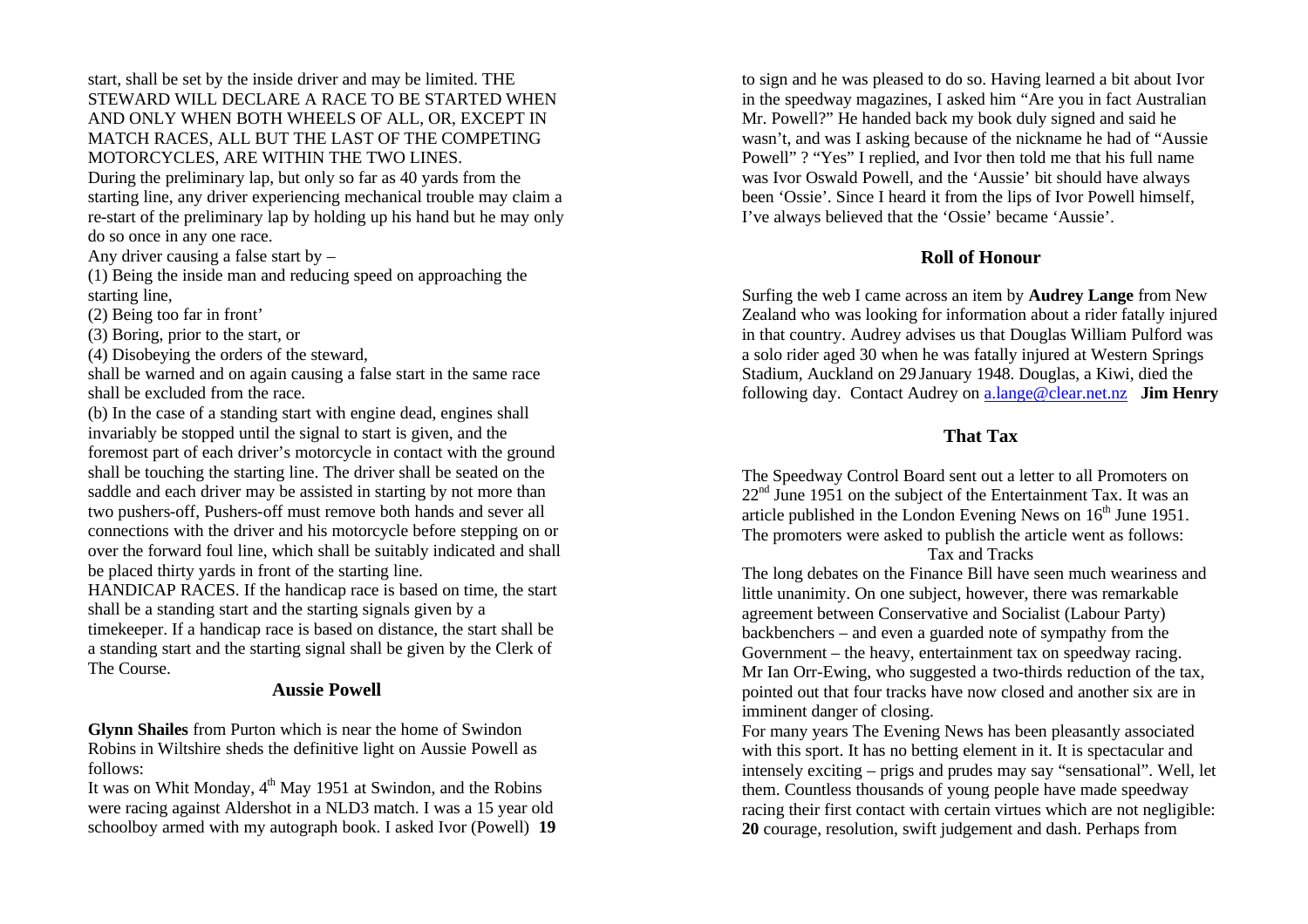start, shall be set by the inside driver and may be limited. THE STEWARD WILL DECLARE A RACE TO BE STARTED WHEN AND ONLY WHEN BOTH WHEELS OF ALL, OR, EXCEPT IN MATCH RACES, ALL BUT THE LAST OF THE COMPETING MOTORCYCLES, ARE WITHIN THE TWO LINES. During the preliminary lap, but only so far as 40 yards from the

starting line, any driver experiencing mechanical trouble may claim a re-start of the preliminary lap by holding up his hand but he may only do so once in any one race.

Any driver causing a false start by –

(1) Being the inside man and reducing speed on approaching the starting line,

(2) Being too far in front'

(3) Boring, prior to the start, or

(4) Disobeying the orders of the steward,

shall be warned and on again causing a false start in the same race shall be excluded from the race.

(b) In the case of a standing start with engine dead, engines shall invariably be stopped until the signal to start is given, and the foremost part of each driver's motorcycle in contact with the ground shall be touching the starting line. The driver shall be seated on the saddle and each driver may be assisted in starting by not more than two pushers-off, Pushers-off must remove both hands and sever all connections with the driver and his motorcycle before stepping on or over the forward foul line, which shall be suitably indicated and shall be placed thirty yards in front of the starting line.

HANDICAP RACES. If the handicap race is based on time, the start shall be a standing start and the starting signals given by a

timekeeper. If a handicap race is based on distance, the start shall be a standing start and the starting signal shall be given by the Clerk of The Course.

### **Aussie Powell**

**Glynn Shailes** from Purton which is near the home of Swindon Robins in Wiltshire sheds the definitive light on Aussie Powell as follows:

It was on Whit Monday,  $4<sup>th</sup>$  May 1951 at Swindon, and the Robins were racing against Aldershot in a NLD3 match. I was a 15 year old schoolboy armed with my autograph book. I asked Ivor (Powell) **19** to sign and he was pleased to do so. Having learned a bit about Ivor in the speedway magazines, I asked him "Are you in fact Australian Mr. Powell?" He handed back my book duly signed and said he wasn't, and was I asking because of the nickname he had of "Aussie Powell" ? "Yes" I replied, and Ivor then told me that his full name was Ivor Oswald Powell, and the 'Aussie' bit should have always been 'Ossie'. Since I heard it from the lips of Ivor Powell himself, I've always believed that the 'Ossie' became 'Aussie'.

### **Roll of Honour**

Surfing the web I came across an item by **Audrey Lange** from New Zealand who was looking for information about a rider fatally injured in that country. Audrey advises us that Douglas William Pulford was a solo rider aged 30 when he was fatally injured at Western Springs Stadium, Auckland on 29 January 1948. Douglas, a Kiwi, died the following day. Contact Audrey on a.lange@clear.net.nz **Jim Henry**

### **That Tax**

The Speedway Control Board sent out a letter to all Promoters on  $22<sup>nd</sup>$  June 1951 on the subject of the Entertainment Tax. It was an article published in the London Evening News on  $16<sup>th</sup>$  June 1951. The promoters were asked to publish the article went as follows:

#### Tax and Tracks

The long debates on the Finance Bill have seen much weariness and little unanimity. On one subject, however, there was remarkable agreement between Conservative and Socialist (Labour Party) backbenchers – and even a guarded note of sympathy from the Government – the heavy, entertainment tax on speedway racing. Mr Ian Orr-Ewing, who suggested a two-thirds reduction of the tax, pointed out that four tracks have now closed and another six are in imminent danger of closing.

For many years The Evening News has been pleasantly associated with this sport. It has no betting element in it. It is spectacular and intensely exciting – prigs and prudes may say "sensational". Well, let them. Countless thousands of young people have made speedway racing their first contact with certain virtues which are not negligible: **20** courage, resolution, swift judgement and dash. Perhaps from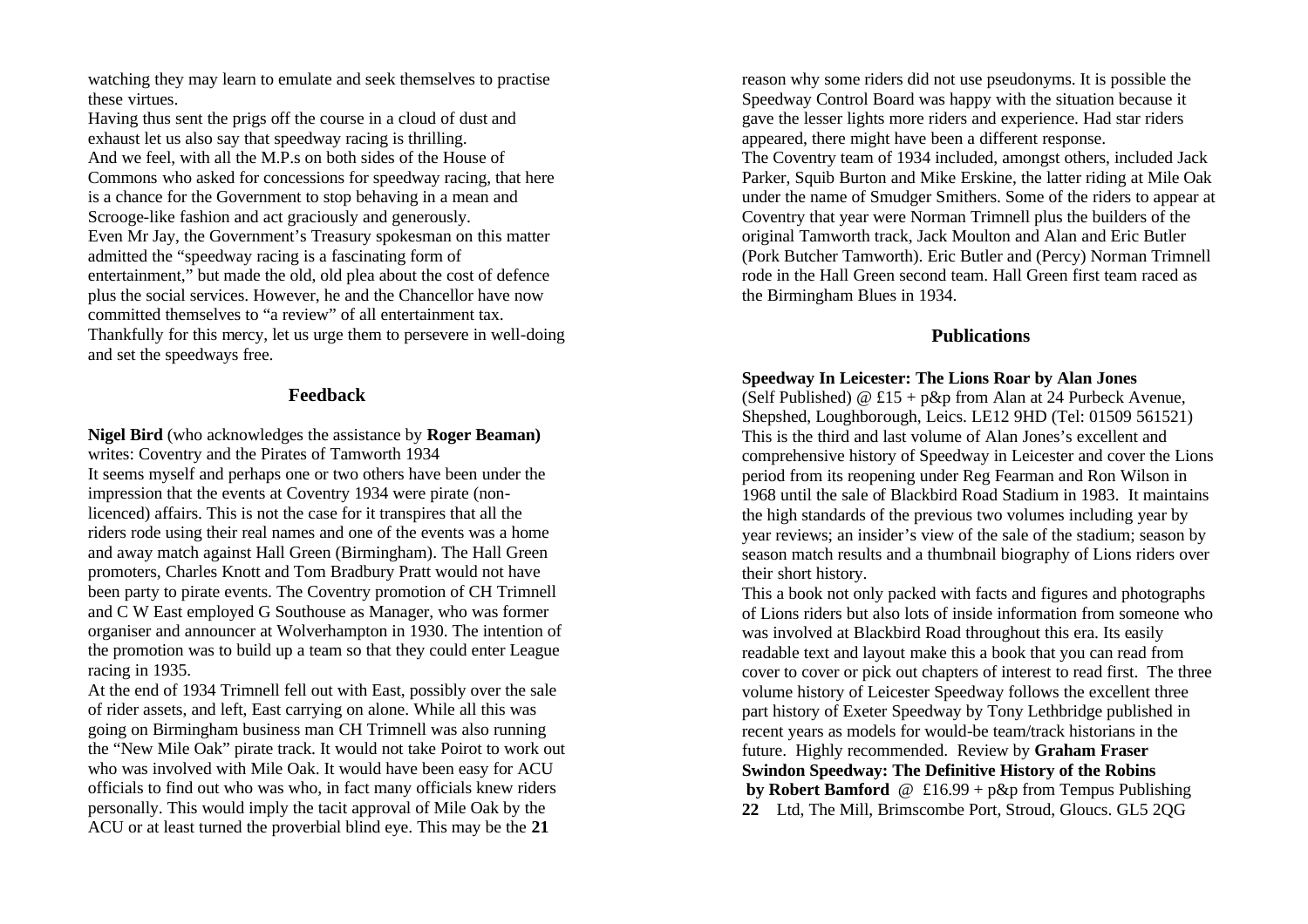watching they may learn to emulate and seek themselves to practise these virtues.

Having thus sent the prigs off the course in a cloud of dust and exhaust let us also say that speedway racing is thrilling. And we feel, with all the M.P.s on both sides of the House of Commons who asked for concessions for speedway racing, that here is a chance for the Government to stop behaving in a mean and Scrooge-like fashion and act graciously and generously. Even Mr Jay, the Government's Treasury spokesman on this matter admitted the "speedway racing is a fascinating form of entertainment," but made the old, old plea about the cost of defence plus the social services. However, he and the Chancellor have now committed themselves to "a review" of all entertainment tax. Thankfully for this mercy, let us urge them to persevere in well-doing and set the speedways free.

#### **Feedback**

**Nigel Bird** (who acknowledges the assistance by **Roger Beaman)**  writes: Coventry and the Pirates of Tamworth 1934 It seems myself and perhaps one or two others have been under the impression that the events at Coventry 1934 were pirate (nonlicenced) affairs. This is not the case for it transpires that all the riders rode using their real names and one of the events was a home and away match against Hall Green (Birmingham). The Hall Green promoters, Charles Knott and Tom Bradbury Pratt would not have been party to pirate events. The Coventry promotion of CH Trimnell and C W East employed G Southouse as Manager, who was former organiser and announcer at Wolverhampton in 1930. The intention of the promotion was to build up a team so that they could enter League racing in 1935.

At the end of 1934 Trimnell fell out with East, possibly over the sale of rider assets, and left, East carrying on alone. While all this was going on Birmingham business man CH Trimnell was also running the "New Mile Oak" pirate track. It would not take Poirot to work out who was involved with Mile Oak. It would have been easy for ACU officials to find out who was who, in fact many officials knew riders personally. This would imply the tacit approval of Mile Oak by the ACU or at least turned the proverbial blind eye. This may be the **21**

reason why some riders did not use pseudonyms. It is possible the Speedway Control Board was happy with the situation because it gave the lesser lights more riders and experience. Had star riders appeared, there might have been a different response. The Coventry team of 1934 included, amongst others, included Jack Parker, Squib Burton and Mike Erskine, the latter riding at Mile Oak under the name of Smudger Smithers. Some of the riders to appear at Coventry that year were Norman Trimnell plus the builders of the original Tamworth track, Jack Moulton and Alan and Eric Butler (Pork Butcher Tamworth). Eric Butler and (Percy) Norman Trimnell rode in the Hall Green second team. Hall Green first team raced as the Birmingham Blues in 1934.

### **Publications**

#### **Speedway In Leicester: The Lions Roar by Alan Jones**

(Self Published)  $@$  £15 + p&p from Alan at 24 Purbeck Avenue, Shepshed, Loughborough, Leics. LE12 9HD (Tel: 01509 561521) This is the third and last volume of Alan Jones's excellent and comprehensive history of Speedway in Leicester and cover the Lions period from its reopening under Reg Fearman and Ron Wilson in 1968 until the sale of Blackbird Road Stadium in 1983. It maintains the high standards of the previous two volumes including year by year reviews; an insider's view of the sale of the stadium; season by season match results and a thumbnail biography of Lions riders over their short history.

This a book not only packed with facts and figures and photographs of Lions riders but also lots of inside information from someone who was involved at Blackbird Road throughout this era. Its easily readable text and layout make this a book that you can read from cover to cover or pick out chapters of interest to read first. The three volume history of Leicester Speedway follows the excellent three part history of Exeter Speedway by Tony Lethbridge published in recent years as models for would-be team/track historians in the future. Highly recommended. Review by **Graham Fraser Swindon Speedway: The Definitive History of the Robins by Robert Bamford** @ £16.99 + p&p from Tempus Publishing **22** Ltd, The Mill, Brimscombe Port, Stroud, Gloucs. GL5 2QG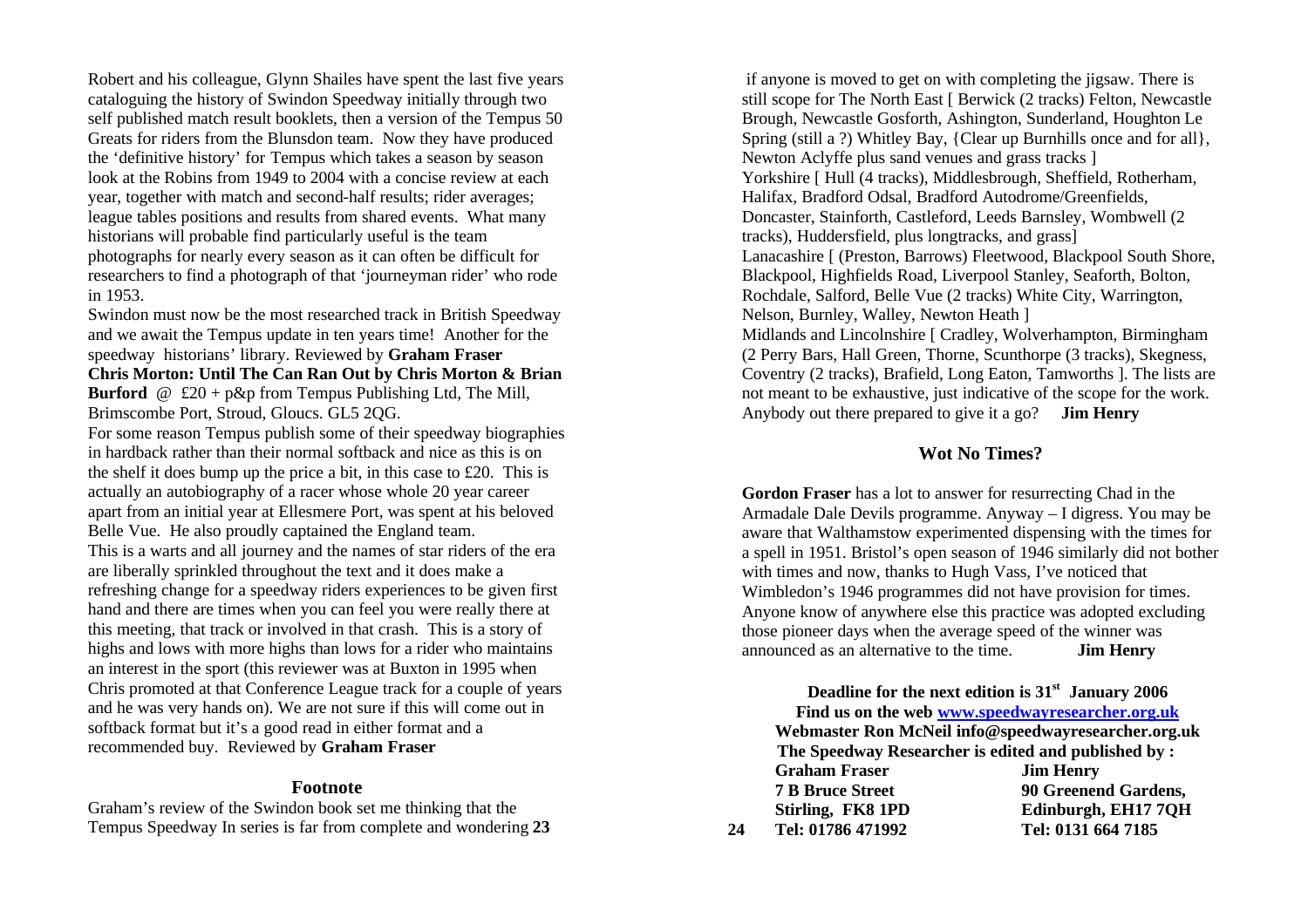Robert and his colleague, Glynn Shailes have spent the last five years cataloguing the history of Swindon Speedway initially through two self published match result booklets, then a version of the Tempus 50 Greats for riders from the Blunsdon team. Now they have produced the 'definitive history' for Tempus which takes a season by season look at the Robins from 1949 to 2004 with a concise review at each year, together with match and second-half results; rider averages; league tables positions and results from shared events. What many historians will probable find particularly useful is the team photographs for nearly every season as it can often be difficult for researchers to find a photograph of that 'journeyman rider' who rode in 1953.

Swindon must now be the most researched track in British Speedway and we await the Tempus update in ten years time! Another for the speedway historians' library. Reviewed by **Graham Fraser Chris Morton: Until The Can Ran Out by Chris Morton & Brian Burford**  $@$  £20 + p&p from Tempus Publishing Ltd, The Mill, Brimscombe Port, Stroud, Gloucs. GL5 2QG.

For some reason Tempus publish some of their speedway biographies in hardback rather than their normal softback and nice as this is on the shelf it does bump up the price a bit, in this case to £20. This is actually an autobiography of a racer whose whole 20 year career apart from an initial year at Ellesmere Port, was spent at his beloved Belle Vue. He also proudly captained the England team. This is a warts and all journey and the names of star riders of the era are liberally sprinkled throughout the text and it does make a refreshing change for a speedway riders experiences to be given first hand and there are times when you can feel you were really there at this meeting, that track or involved in that crash. This is a story of highs and lows with more highs than lows for a rider who maintains an interest in the sport (this reviewer was at Buxton in 1995 when Chris promoted at that Conference League track for a couple of years and he was very hands on). We are not sure if this will come out in softback format but it's a good read in either format and a recommended buy. Reviewed by **Graham Fraser**

#### **Footnote**

Graham's review of the Swindon book set me thinking that the Tempus Speedway In series is far from complete and wondering **23**

if anyone is moved to get on with completing the jigsaw. There is still scope for The North East [ Berwick (2 tracks) Felton, Newcastle Brough, Newcastle Gosforth, Ashington, Sunderland, Houghton Le Spring (still a ?) Whitley Bay, {Clear up Burnhills once and for all}, Newton Aclyffe plus sand venues and grass tracks ] Yorkshire [ Hull (4 tracks), Middlesbrough, Sheffield, Rotherham, Halifax, Bradford Odsal, Bradford Autodrome/Greenfields, Doncaster, Stainforth, Castleford, Leeds Barnsley, Wombwell (2 tracks), Huddersfield, plus longtracks, and grass] Lanacashire [ (Preston, Barrows) Fleetwood, Blackpool South Shore, Blackpool, Highfields Road, Liverpool Stanley, Seaforth, Bolton, Rochdale, Salford, Belle Vue (2 tracks) White City, Warrington, Nelson, Burnley, Walley, Newton Heath ] Midlands and Lincolnshire [ Cradley, Wolverhampton, Birmingham (2 Perry Bars, Hall Green, Thorne, Scunthorpe (3 tracks), Skegness,

Coventry (2 tracks), Brafield, Long Eaton, Tamworths ]. The lists are not meant to be exhaustive, just indicative of the scope for the work. Anybody out there prepared to give it a go? **Jim Henry**

### **Wot No Times?**

**Gordon Fraser** has a lot to answer for resurrecting Chad in the Armadale Dale Devils programme. Anyway – I digress. You may be aware that Walthamstow experimented dispensing with the times for a spell in 1951. Bristol's open season of 1946 similarly did not bother with times and now, thanks to Hugh Vass, I've noticed that Wimbledon's 1946 programmes did not have provision for times. Anyone know of anywhere else this practice was adopted excluding those pioneer days when the average speed of the winner was announced as an alternative to the time. **Jim Henry**

**Deadline for the next edition is 31st January 2006 Find us on the web www.speedwayresearcher.org.uk Webmaster Ron McNeil info@speedwayresearcher.org.uk The Speedway Researcher is edited and published by : Graham Fraser Jim Henry 7 B Bruce Street 90 Greenend Gardens, Stirling, FK8 1PD Edinburgh, EH17 7QH 24 Tel: 01786 471992 Tel: 0131 664 7185**